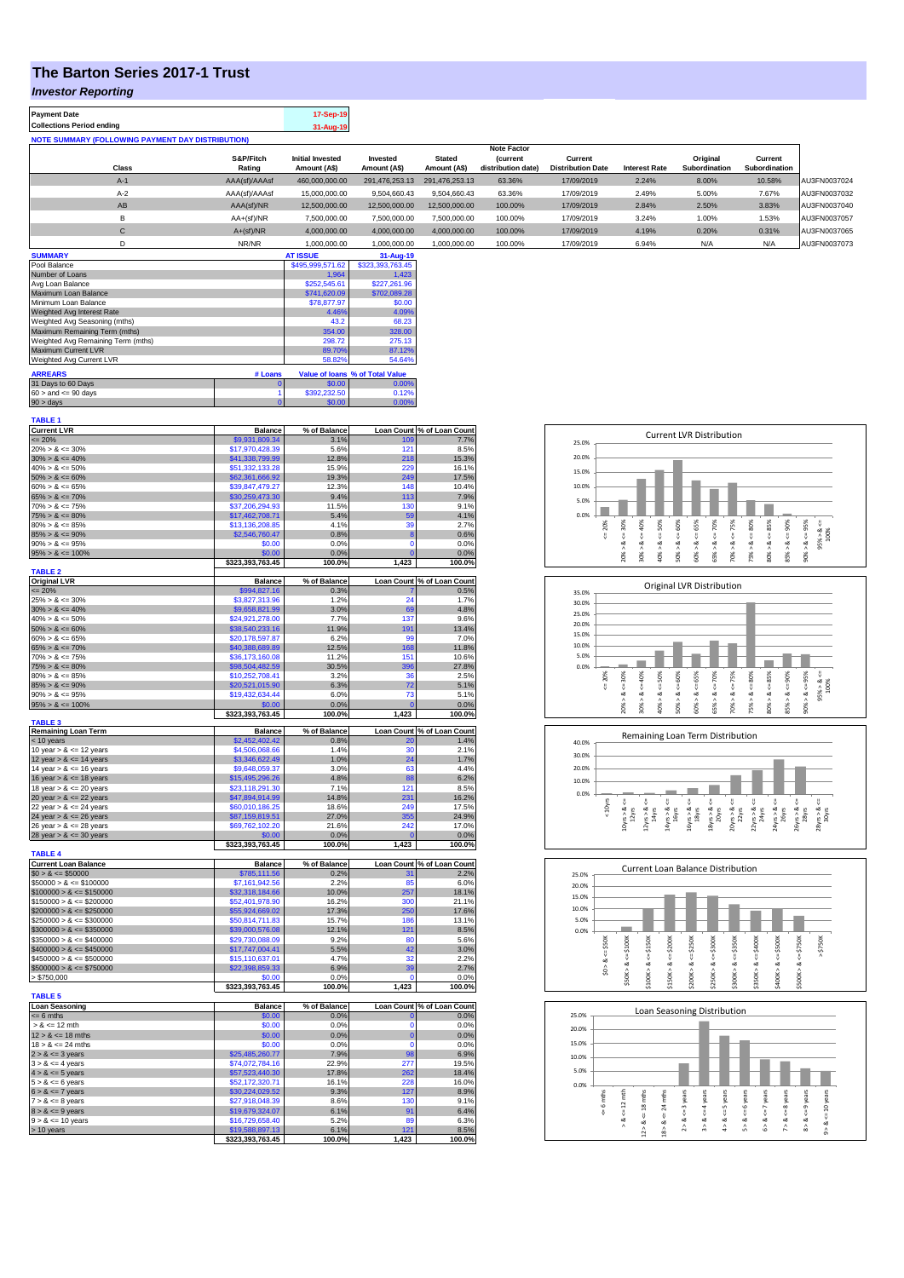## **The Barton Series 2017-1 Trust**

## *Investor Reporting*

| 17-Sep-19 |
|-----------|
| 31-Aug-19 |
|           |

|       |               |                         |                |                | <b>Note Factor</b> |                          |                      |               |               |              |
|-------|---------------|-------------------------|----------------|----------------|--------------------|--------------------------|----------------------|---------------|---------------|--------------|
|       | S&P/Fitch     | <b>Initial Invested</b> | Invested       | <b>Stated</b>  | <i>(current</i>    | Current                  |                      | Original      | Current       |              |
| Class | Rating        | Amount (A\$)            | Amount (A\$)   | Amount (A\$)   | distribution date) | <b>Distribution Date</b> | <b>Interest Rate</b> | Subordination | Subordination |              |
| $A-1$ | AAA(sf)/AAAsf | 460,000,000.00          | 291.476.253.13 | 291.476.253.13 | 63.36%             | 17/09/2019               | 2.24%                | 8.00%         | 10.58%        | AU3FN0037024 |
| $A-2$ | AAA(sf)/AAAsf | 15,000,000.00           | 9.504.660.43   | 9,504,660.43   | 63.36%             | 17/09/2019               | 2.49%                | 5.00%         | 7.67%         | AU3FN0037032 |
| AB    | AAA(sf)/NR    | 12,500,000.00           | 12.500.000.00  | 12.500.000.00  | 100.00%            | 17/09/2019               | 2.84%                | 2.50%         | 3.83%         | AU3FN0037040 |
| B     | $AA+(sf)/NR$  | 7,500,000.00            | 7,500,000.00   | 7,500,000.00   | 100.00%            | 17/09/2019               | 3.24%                | 1.00%         | 1.53%         | AU3FN0037057 |
| C     | $A+(sf)/NR$   | 4,000,000.00            | 4,000,000.00   | 4,000,000.00   | 100.00%            | 17/09/2019               | 4.19%                | 0.20%         | 0.31%         | AU3FN0037065 |
|       | NR/NR         | 1.000.000.00            | 1.000.000.00   | 1.000.000.00   | 100.00%            | 17/09/2019               | 6.94%                | N/A           | N/A           | AU3FN0037073 |

| <b>SUMMARY</b>                     |         | <b>AT ISSUE</b>  | 31-Aug-19                       |
|------------------------------------|---------|------------------|---------------------------------|
| Pool Balance                       |         | \$495,999,571.62 | \$323,393,763.45                |
| Number of Loans                    |         | 1.964            | 1.423                           |
| Avg Loan Balance                   |         | \$252,545.61     | \$227.261.96                    |
| Maximum Loan Balance               |         | \$741,620.09     | \$702.089.28                    |
| Minimum Loan Balance               |         | \$78,877.97      | \$0.00                          |
| Weighted Avg Interest Rate         |         | 4.46%            | 4.09%                           |
| Weighted Avg Seasoning (mths)      |         | 43.2             | 68.23                           |
| Maximum Remaining Term (mths)      |         | 354.00           | 328.00                          |
| Weighted Avg Remaining Term (mths) |         | 298.72           | 275.13                          |
| Maximum Current LVR                |         | 89.70%           | 87.12%                          |
| Weighted Avg Current LVR           |         | 58.82%           | 54.64%                          |
| <b>ARREARS</b>                     | # Loans |                  | Value of Ioans % of Total Value |
| 31 Days to 60 Days                 | o       | \$0.00           | 0.00%                           |
| $60 >$ and $\leq 90$ days          |         | \$392,232.50     | 0.12%                           |
| $90 >$ days                        |         | \$0.00           | 0.00%                           |

| Current LVR<br>$\leq$ 20%<br>20% > & $\leq$ 30%<br>30% > & $\leq$ 40%<br><b>Balance</b><br>% of Balance<br>Loan Count % of Loan Count<br>\$9,931,809.34<br>3.1%<br>7.7%<br>109<br>\$17,970,428.39<br>5.6%<br>121<br>8.5%<br>\$41,338,799.99<br>12.8%<br>218<br>15.3%<br>$40\% > 8 \le 50\%$<br>\$51,332,133.28<br>15.9%<br>220<br>16.1%<br>$50\% > 8 \le 60\%$<br>$60\% > 8 \le 65\%$<br>19.3%<br>249<br>\$62,361,666.92<br>17.5%<br>\$39,847,479.27<br>12.3%<br>148<br>10.4%<br>$65\% > 8 \le 70\%$<br>$70\% > 8 \le 75\%$<br>$75\% > 8 \le 80\%$<br>$80\% > 8 \le 85\%$<br>9.4%<br>113<br>7.9%<br>\$30,259,473.30<br>9.1%<br>\$37,206,294.93<br>11.5%<br>130<br>5.4%<br>59<br>4.1%<br>\$17,462,708.71<br>\$13,136,208.85<br>4.1%<br>39<br>2.7%<br>$85\% > 8 \le 90\%$<br>\$2,546,760.47<br>0.8%<br>8<br>0.6%<br>$90\% > 8 \le 95\%$<br>\$0.00<br>0.0%<br>0.0%<br>O<br>$95\% > 8 \le 100\%$<br>0.0%<br>\$0.00<br>0.0%<br>ŕ<br>\$323,393,763.45<br>100.0%<br>1,423<br>100.0%<br><b>TABLE 2</b><br>Original LVR<br>$\leq$ 20%<br>25% > & $\leq$ 30%<br><b>Balance</b><br>% of Balance<br>Loan Count % of Loan Count<br>\$994,827.16<br>0.3%<br>0.5%<br>24<br>\$3,827,313.96<br>1.2%<br>1.7%<br>$30\% > 8 \le 40\%$<br>69<br>4.8%<br>\$9,658,821.99<br>3.0%<br>$40\% > 8 \le 50\%$<br>\$24,921,278.00<br>7.7%<br>137<br>9.6%<br>$50\% > 8 \le 60\%$<br>\$38,540,233.16<br>11.9%<br>13.4%<br>191<br>$60\% > 8 \le 65\%$<br>\$20,178,597.87<br>6.2%<br>99<br>7.0%<br>$65\% > 8 \le 70\%$<br>11.8%<br>\$40,388,689.89<br>12.5%<br>168<br>$70\% > 8 \le 75\%$<br>\$36,173,160.08<br>11.2%<br>151<br>10.6%<br>$75\% > 8 \le 80\%$<br>\$98,504,482.59<br>30.5%<br>396<br>27.8%<br>\$10,252,708.41<br>3.2%<br>36<br>2.5%<br>$85\% > 8 \le 90\%$<br>\$20,521,015.90<br>6.3%<br>72<br>5.1%<br>$90\% > 8 \le 95\%$<br>\$19,432,634.44<br>5.1%<br>6.0%<br>73<br>$95\% > 8 \le 100\%$<br>\$0.00<br>0.0%<br>0.0%<br>ŕ<br>\$323,393,763.45<br>100.0%<br>1,423<br>100.0%<br><b>TABLE 3</b><br>Remaining Loan Term<br>$<$ 10 years<br>10 year > $<=$ 12 years<br><b>Balance</b><br>% of Balance<br>Loan Count % of Loan Count<br>\$2,452,402.42<br>0.8%<br>1.4%<br>20<br>1.4%<br>2.1%<br>\$4,506,068.66<br>30<br>12 year > $8 \le 14$ years<br>14 year > $8 \le 16$ years<br>16 year > $8 \le 16$ years<br>16 year > $8 \le 18$ years<br>\$3,346,622.49<br>1.0%<br>24<br>1.7%<br>\$9,648,059.37<br>3.0%<br>63<br>4.4%<br>88<br>6.2%<br>\$15,495,296.26<br>4.8%<br>\$23,118,291.30<br>121<br>8.5%<br>7.1%<br>20 year $> 8 \le 22$ years<br>22 year $> 8 \le 24$ years<br>16.2%<br>\$47,894,914.99<br>14.8%<br>231<br>\$60,010,186.25<br>18.6%<br>249<br>17.5%<br>\$87,159,819.51<br>27.0%<br>355<br>24.9%<br>\$69,762,102.20<br>21.6%<br>242<br>17.0%<br>28 year $> 8 \le 30$ years<br>0.0%<br>$\overline{0}$<br>\$0.00<br>0.0%<br>\$323,393,763.45<br>100.0%<br>1,423<br>100.0%<br><b>TABLE 4</b><br><b>Current Loan Balance</b><br>% of Balance<br>Loan Count % of Loan Count<br><b>Balance</b><br>$$0 > 8 \le $50000$<br>2.2%<br>\$785,111.56<br>0.2%<br>31<br>2.2%<br>85<br>6.0%<br>\$7,161,942.56<br>10.0%<br>257<br>18.1%<br>\$32,318,184.66<br>$$150000 > 8 \le $150000$<br>$$200000 > 8 \le $200000$<br>$$250000 > 8 \le $250000$<br>$$250000 > 8 \le $300000$<br>$$300000 > 8 \le $350000$<br>$$350000 > 8 \le $400000$<br>\$52,401,978.90<br>16.2%<br>300<br>21.1%<br>\$55,924,669.02<br>17.3%<br>250<br>17.6%<br>\$50,814,711.83<br>15.7%<br>186<br>13.1%<br>\$39,000,576.08<br>12.1%<br>121<br>8.5%<br>\$29,730,088.09<br>9.2%<br><b>RC</b><br>5.6%<br>$$400000 > 8 \le $450000$<br>42<br>\$17,747,004.41<br>5.5%<br>3.0%<br>$$450000 > 8 \le $500000$<br>\$15,110,637.01<br>4.7%<br>32<br>2.2%<br>$$500000 > 8 \le $750000$<br>\$22,398,859.33<br>6.9%<br>39<br>2.7%<br>\$0.00<br>0.0%<br>ċ<br>0.0%<br>100.0%<br>1,423<br>100.0%<br>\$323,393,763.45<br><b>TABLE 5</b><br><b>Loan Seasoning</b><br><b>Balance</b><br>% of Balance<br>Loan Count % of Loan Count<br>$= 6$ mths<br>\$0.00<br>0.0%<br>$\mathbf{0}$<br>0.0%<br>$> 8 \le 12$ mth<br>\$0.00<br>0.0%<br>0<br>0.0%<br>$12 > 8 \le 18$ mths<br>o<br>\$0.00<br>0.0%<br>0.0%<br>$18 > 8 \le 24$ mths<br>\$0.00<br>0.0%<br>$\Omega$<br>0.0%<br>$18 > 8 \le 3$ years<br>$2 > 8 \le 3$ years<br>$3 > 8 \le 4$ years<br>$4 > 8 \le 5$ years<br>$5 > 8 \le 6$ years<br>$6 > 8 \le 7$ years<br>$7 > 8 \le 8$ years<br>$8 > 8 \le 9$ years<br>$9 > 8 \le 10$ years<br>$9 > 8 \le 10$ years<br>98<br>7.9%<br>6.9%<br>\$25,485,260.77<br>277<br>\$74,072,784.16<br>22.9%<br>19.5%<br>\$57,523,440.30<br>262<br>17.8%<br>18.4%<br>228<br>\$52,172,320.71<br>16.1%<br>16.0%<br>9.3%<br>127<br>8.9%<br>\$30,224,029.52<br>8.6%<br>130<br>9.1%<br>\$27,918,048.39<br>\$19,679,324.07<br>6.1%<br>91<br>6.4%<br>5.2%<br>89<br>6.3%<br>\$16,729,658.40<br>$> 10$ years<br>\$19,588,897.13<br>6.1%<br>8.5%<br>121<br>\$323,393,763.45<br>100.0%<br>1,423<br>100.0% | <b>TABLE 1</b>             |  |  |
|--------------------------------------------------------------------------------------------------------------------------------------------------------------------------------------------------------------------------------------------------------------------------------------------------------------------------------------------------------------------------------------------------------------------------------------------------------------------------------------------------------------------------------------------------------------------------------------------------------------------------------------------------------------------------------------------------------------------------------------------------------------------------------------------------------------------------------------------------------------------------------------------------------------------------------------------------------------------------------------------------------------------------------------------------------------------------------------------------------------------------------------------------------------------------------------------------------------------------------------------------------------------------------------------------------------------------------------------------------------------------------------------------------------------------------------------------------------------------------------------------------------------------------------------------------------------------------------------------------------------------------------------------------------------------------------------------------------------------------------------------------------------------------------------------------------------------------------------------------------------------------------------------------------------------------------------------------------------------------------------------------------------------------------------------------------------------------------------------------------------------------------------------------------------------------------------------------------------------------------------------------------------------------------------------------------------------------------------------------------------------------------------------------------------------------------------------------------------------------------------------------------------------------------------------------------------------------------------------------------------------------------------------------------------------------------------------------------------------------------------------------------------------------------------------------------------------------------------------------------------------------------------------------------------------------------------------------------------------------------------------------------------------------------------------------------------------------------------------------------------------------------------------------------------------------------------------------------------------------------------------------------------------------------------------------------------------------------------------------------------------------------------------------------------------------------------------------------------------------------------------------------------------------------------------------------------------------------------------------------------------------------------------------------------------------------------------------------------------------------------------------------------------------------------------------------------------------------------------------------------------------------------------------------------------------------------------------------------------------------------------------------------------------------------------------------------------------------------------------------------------------------------------------------------------------------------------------------------------------------------------------------------------------------------------------------------------------------------------------------------------------------------------------------------------------------------------------------------------------------------------------------------------------------------------------------------------------------------------------------------------------------------------------------------------------------------------------------------------------------------------------------------------------------------------------------------------------------------------------------------------------------------------|----------------------------|--|--|
|                                                                                                                                                                                                                                                                                                                                                                                                                                                                                                                                                                                                                                                                                                                                                                                                                                                                                                                                                                                                                                                                                                                                                                                                                                                                                                                                                                                                                                                                                                                                                                                                                                                                                                                                                                                                                                                                                                                                                                                                                                                                                                                                                                                                                                                                                                                                                                                                                                                                                                                                                                                                                                                                                                                                                                                                                                                                                                                                                                                                                                                                                                                                                                                                                                                                                                                                                                                                                                                                                                                                                                                                                                                                                                                                                                                                                                                                                                                                                                                                                                                                                                                                                                                                                                                                                                                                                                                                                                                                                                                                                                                                                                                                                                                                                                                                                                                                                                  |                            |  |  |
|                                                                                                                                                                                                                                                                                                                                                                                                                                                                                                                                                                                                                                                                                                                                                                                                                                                                                                                                                                                                                                                                                                                                                                                                                                                                                                                                                                                                                                                                                                                                                                                                                                                                                                                                                                                                                                                                                                                                                                                                                                                                                                                                                                                                                                                                                                                                                                                                                                                                                                                                                                                                                                                                                                                                                                                                                                                                                                                                                                                                                                                                                                                                                                                                                                                                                                                                                                                                                                                                                                                                                                                                                                                                                                                                                                                                                                                                                                                                                                                                                                                                                                                                                                                                                                                                                                                                                                                                                                                                                                                                                                                                                                                                                                                                                                                                                                                                                                  |                            |  |  |
|                                                                                                                                                                                                                                                                                                                                                                                                                                                                                                                                                                                                                                                                                                                                                                                                                                                                                                                                                                                                                                                                                                                                                                                                                                                                                                                                                                                                                                                                                                                                                                                                                                                                                                                                                                                                                                                                                                                                                                                                                                                                                                                                                                                                                                                                                                                                                                                                                                                                                                                                                                                                                                                                                                                                                                                                                                                                                                                                                                                                                                                                                                                                                                                                                                                                                                                                                                                                                                                                                                                                                                                                                                                                                                                                                                                                                                                                                                                                                                                                                                                                                                                                                                                                                                                                                                                                                                                                                                                                                                                                                                                                                                                                                                                                                                                                                                                                                                  |                            |  |  |
|                                                                                                                                                                                                                                                                                                                                                                                                                                                                                                                                                                                                                                                                                                                                                                                                                                                                                                                                                                                                                                                                                                                                                                                                                                                                                                                                                                                                                                                                                                                                                                                                                                                                                                                                                                                                                                                                                                                                                                                                                                                                                                                                                                                                                                                                                                                                                                                                                                                                                                                                                                                                                                                                                                                                                                                                                                                                                                                                                                                                                                                                                                                                                                                                                                                                                                                                                                                                                                                                                                                                                                                                                                                                                                                                                                                                                                                                                                                                                                                                                                                                                                                                                                                                                                                                                                                                                                                                                                                                                                                                                                                                                                                                                                                                                                                                                                                                                                  |                            |  |  |
|                                                                                                                                                                                                                                                                                                                                                                                                                                                                                                                                                                                                                                                                                                                                                                                                                                                                                                                                                                                                                                                                                                                                                                                                                                                                                                                                                                                                                                                                                                                                                                                                                                                                                                                                                                                                                                                                                                                                                                                                                                                                                                                                                                                                                                                                                                                                                                                                                                                                                                                                                                                                                                                                                                                                                                                                                                                                                                                                                                                                                                                                                                                                                                                                                                                                                                                                                                                                                                                                                                                                                                                                                                                                                                                                                                                                                                                                                                                                                                                                                                                                                                                                                                                                                                                                                                                                                                                                                                                                                                                                                                                                                                                                                                                                                                                                                                                                                                  |                            |  |  |
|                                                                                                                                                                                                                                                                                                                                                                                                                                                                                                                                                                                                                                                                                                                                                                                                                                                                                                                                                                                                                                                                                                                                                                                                                                                                                                                                                                                                                                                                                                                                                                                                                                                                                                                                                                                                                                                                                                                                                                                                                                                                                                                                                                                                                                                                                                                                                                                                                                                                                                                                                                                                                                                                                                                                                                                                                                                                                                                                                                                                                                                                                                                                                                                                                                                                                                                                                                                                                                                                                                                                                                                                                                                                                                                                                                                                                                                                                                                                                                                                                                                                                                                                                                                                                                                                                                                                                                                                                                                                                                                                                                                                                                                                                                                                                                                                                                                                                                  |                            |  |  |
|                                                                                                                                                                                                                                                                                                                                                                                                                                                                                                                                                                                                                                                                                                                                                                                                                                                                                                                                                                                                                                                                                                                                                                                                                                                                                                                                                                                                                                                                                                                                                                                                                                                                                                                                                                                                                                                                                                                                                                                                                                                                                                                                                                                                                                                                                                                                                                                                                                                                                                                                                                                                                                                                                                                                                                                                                                                                                                                                                                                                                                                                                                                                                                                                                                                                                                                                                                                                                                                                                                                                                                                                                                                                                                                                                                                                                                                                                                                                                                                                                                                                                                                                                                                                                                                                                                                                                                                                                                                                                                                                                                                                                                                                                                                                                                                                                                                                                                  |                            |  |  |
|                                                                                                                                                                                                                                                                                                                                                                                                                                                                                                                                                                                                                                                                                                                                                                                                                                                                                                                                                                                                                                                                                                                                                                                                                                                                                                                                                                                                                                                                                                                                                                                                                                                                                                                                                                                                                                                                                                                                                                                                                                                                                                                                                                                                                                                                                                                                                                                                                                                                                                                                                                                                                                                                                                                                                                                                                                                                                                                                                                                                                                                                                                                                                                                                                                                                                                                                                                                                                                                                                                                                                                                                                                                                                                                                                                                                                                                                                                                                                                                                                                                                                                                                                                                                                                                                                                                                                                                                                                                                                                                                                                                                                                                                                                                                                                                                                                                                                                  |                            |  |  |
|                                                                                                                                                                                                                                                                                                                                                                                                                                                                                                                                                                                                                                                                                                                                                                                                                                                                                                                                                                                                                                                                                                                                                                                                                                                                                                                                                                                                                                                                                                                                                                                                                                                                                                                                                                                                                                                                                                                                                                                                                                                                                                                                                                                                                                                                                                                                                                                                                                                                                                                                                                                                                                                                                                                                                                                                                                                                                                                                                                                                                                                                                                                                                                                                                                                                                                                                                                                                                                                                                                                                                                                                                                                                                                                                                                                                                                                                                                                                                                                                                                                                                                                                                                                                                                                                                                                                                                                                                                                                                                                                                                                                                                                                                                                                                                                                                                                                                                  |                            |  |  |
|                                                                                                                                                                                                                                                                                                                                                                                                                                                                                                                                                                                                                                                                                                                                                                                                                                                                                                                                                                                                                                                                                                                                                                                                                                                                                                                                                                                                                                                                                                                                                                                                                                                                                                                                                                                                                                                                                                                                                                                                                                                                                                                                                                                                                                                                                                                                                                                                                                                                                                                                                                                                                                                                                                                                                                                                                                                                                                                                                                                                                                                                                                                                                                                                                                                                                                                                                                                                                                                                                                                                                                                                                                                                                                                                                                                                                                                                                                                                                                                                                                                                                                                                                                                                                                                                                                                                                                                                                                                                                                                                                                                                                                                                                                                                                                                                                                                                                                  |                            |  |  |
|                                                                                                                                                                                                                                                                                                                                                                                                                                                                                                                                                                                                                                                                                                                                                                                                                                                                                                                                                                                                                                                                                                                                                                                                                                                                                                                                                                                                                                                                                                                                                                                                                                                                                                                                                                                                                                                                                                                                                                                                                                                                                                                                                                                                                                                                                                                                                                                                                                                                                                                                                                                                                                                                                                                                                                                                                                                                                                                                                                                                                                                                                                                                                                                                                                                                                                                                                                                                                                                                                                                                                                                                                                                                                                                                                                                                                                                                                                                                                                                                                                                                                                                                                                                                                                                                                                                                                                                                                                                                                                                                                                                                                                                                                                                                                                                                                                                                                                  |                            |  |  |
|                                                                                                                                                                                                                                                                                                                                                                                                                                                                                                                                                                                                                                                                                                                                                                                                                                                                                                                                                                                                                                                                                                                                                                                                                                                                                                                                                                                                                                                                                                                                                                                                                                                                                                                                                                                                                                                                                                                                                                                                                                                                                                                                                                                                                                                                                                                                                                                                                                                                                                                                                                                                                                                                                                                                                                                                                                                                                                                                                                                                                                                                                                                                                                                                                                                                                                                                                                                                                                                                                                                                                                                                                                                                                                                                                                                                                                                                                                                                                                                                                                                                                                                                                                                                                                                                                                                                                                                                                                                                                                                                                                                                                                                                                                                                                                                                                                                                                                  |                            |  |  |
|                                                                                                                                                                                                                                                                                                                                                                                                                                                                                                                                                                                                                                                                                                                                                                                                                                                                                                                                                                                                                                                                                                                                                                                                                                                                                                                                                                                                                                                                                                                                                                                                                                                                                                                                                                                                                                                                                                                                                                                                                                                                                                                                                                                                                                                                                                                                                                                                                                                                                                                                                                                                                                                                                                                                                                                                                                                                                                                                                                                                                                                                                                                                                                                                                                                                                                                                                                                                                                                                                                                                                                                                                                                                                                                                                                                                                                                                                                                                                                                                                                                                                                                                                                                                                                                                                                                                                                                                                                                                                                                                                                                                                                                                                                                                                                                                                                                                                                  |                            |  |  |
|                                                                                                                                                                                                                                                                                                                                                                                                                                                                                                                                                                                                                                                                                                                                                                                                                                                                                                                                                                                                                                                                                                                                                                                                                                                                                                                                                                                                                                                                                                                                                                                                                                                                                                                                                                                                                                                                                                                                                                                                                                                                                                                                                                                                                                                                                                                                                                                                                                                                                                                                                                                                                                                                                                                                                                                                                                                                                                                                                                                                                                                                                                                                                                                                                                                                                                                                                                                                                                                                                                                                                                                                                                                                                                                                                                                                                                                                                                                                                                                                                                                                                                                                                                                                                                                                                                                                                                                                                                                                                                                                                                                                                                                                                                                                                                                                                                                                                                  |                            |  |  |
|                                                                                                                                                                                                                                                                                                                                                                                                                                                                                                                                                                                                                                                                                                                                                                                                                                                                                                                                                                                                                                                                                                                                                                                                                                                                                                                                                                                                                                                                                                                                                                                                                                                                                                                                                                                                                                                                                                                                                                                                                                                                                                                                                                                                                                                                                                                                                                                                                                                                                                                                                                                                                                                                                                                                                                                                                                                                                                                                                                                                                                                                                                                                                                                                                                                                                                                                                                                                                                                                                                                                                                                                                                                                                                                                                                                                                                                                                                                                                                                                                                                                                                                                                                                                                                                                                                                                                                                                                                                                                                                                                                                                                                                                                                                                                                                                                                                                                                  |                            |  |  |
|                                                                                                                                                                                                                                                                                                                                                                                                                                                                                                                                                                                                                                                                                                                                                                                                                                                                                                                                                                                                                                                                                                                                                                                                                                                                                                                                                                                                                                                                                                                                                                                                                                                                                                                                                                                                                                                                                                                                                                                                                                                                                                                                                                                                                                                                                                                                                                                                                                                                                                                                                                                                                                                                                                                                                                                                                                                                                                                                                                                                                                                                                                                                                                                                                                                                                                                                                                                                                                                                                                                                                                                                                                                                                                                                                                                                                                                                                                                                                                                                                                                                                                                                                                                                                                                                                                                                                                                                                                                                                                                                                                                                                                                                                                                                                                                                                                                                                                  |                            |  |  |
|                                                                                                                                                                                                                                                                                                                                                                                                                                                                                                                                                                                                                                                                                                                                                                                                                                                                                                                                                                                                                                                                                                                                                                                                                                                                                                                                                                                                                                                                                                                                                                                                                                                                                                                                                                                                                                                                                                                                                                                                                                                                                                                                                                                                                                                                                                                                                                                                                                                                                                                                                                                                                                                                                                                                                                                                                                                                                                                                                                                                                                                                                                                                                                                                                                                                                                                                                                                                                                                                                                                                                                                                                                                                                                                                                                                                                                                                                                                                                                                                                                                                                                                                                                                                                                                                                                                                                                                                                                                                                                                                                                                                                                                                                                                                                                                                                                                                                                  |                            |  |  |
|                                                                                                                                                                                                                                                                                                                                                                                                                                                                                                                                                                                                                                                                                                                                                                                                                                                                                                                                                                                                                                                                                                                                                                                                                                                                                                                                                                                                                                                                                                                                                                                                                                                                                                                                                                                                                                                                                                                                                                                                                                                                                                                                                                                                                                                                                                                                                                                                                                                                                                                                                                                                                                                                                                                                                                                                                                                                                                                                                                                                                                                                                                                                                                                                                                                                                                                                                                                                                                                                                                                                                                                                                                                                                                                                                                                                                                                                                                                                                                                                                                                                                                                                                                                                                                                                                                                                                                                                                                                                                                                                                                                                                                                                                                                                                                                                                                                                                                  |                            |  |  |
|                                                                                                                                                                                                                                                                                                                                                                                                                                                                                                                                                                                                                                                                                                                                                                                                                                                                                                                                                                                                                                                                                                                                                                                                                                                                                                                                                                                                                                                                                                                                                                                                                                                                                                                                                                                                                                                                                                                                                                                                                                                                                                                                                                                                                                                                                                                                                                                                                                                                                                                                                                                                                                                                                                                                                                                                                                                                                                                                                                                                                                                                                                                                                                                                                                                                                                                                                                                                                                                                                                                                                                                                                                                                                                                                                                                                                                                                                                                                                                                                                                                                                                                                                                                                                                                                                                                                                                                                                                                                                                                                                                                                                                                                                                                                                                                                                                                                                                  |                            |  |  |
|                                                                                                                                                                                                                                                                                                                                                                                                                                                                                                                                                                                                                                                                                                                                                                                                                                                                                                                                                                                                                                                                                                                                                                                                                                                                                                                                                                                                                                                                                                                                                                                                                                                                                                                                                                                                                                                                                                                                                                                                                                                                                                                                                                                                                                                                                                                                                                                                                                                                                                                                                                                                                                                                                                                                                                                                                                                                                                                                                                                                                                                                                                                                                                                                                                                                                                                                                                                                                                                                                                                                                                                                                                                                                                                                                                                                                                                                                                                                                                                                                                                                                                                                                                                                                                                                                                                                                                                                                                                                                                                                                                                                                                                                                                                                                                                                                                                                                                  |                            |  |  |
|                                                                                                                                                                                                                                                                                                                                                                                                                                                                                                                                                                                                                                                                                                                                                                                                                                                                                                                                                                                                                                                                                                                                                                                                                                                                                                                                                                                                                                                                                                                                                                                                                                                                                                                                                                                                                                                                                                                                                                                                                                                                                                                                                                                                                                                                                                                                                                                                                                                                                                                                                                                                                                                                                                                                                                                                                                                                                                                                                                                                                                                                                                                                                                                                                                                                                                                                                                                                                                                                                                                                                                                                                                                                                                                                                                                                                                                                                                                                                                                                                                                                                                                                                                                                                                                                                                                                                                                                                                                                                                                                                                                                                                                                                                                                                                                                                                                                                                  |                            |  |  |
|                                                                                                                                                                                                                                                                                                                                                                                                                                                                                                                                                                                                                                                                                                                                                                                                                                                                                                                                                                                                                                                                                                                                                                                                                                                                                                                                                                                                                                                                                                                                                                                                                                                                                                                                                                                                                                                                                                                                                                                                                                                                                                                                                                                                                                                                                                                                                                                                                                                                                                                                                                                                                                                                                                                                                                                                                                                                                                                                                                                                                                                                                                                                                                                                                                                                                                                                                                                                                                                                                                                                                                                                                                                                                                                                                                                                                                                                                                                                                                                                                                                                                                                                                                                                                                                                                                                                                                                                                                                                                                                                                                                                                                                                                                                                                                                                                                                                                                  |                            |  |  |
|                                                                                                                                                                                                                                                                                                                                                                                                                                                                                                                                                                                                                                                                                                                                                                                                                                                                                                                                                                                                                                                                                                                                                                                                                                                                                                                                                                                                                                                                                                                                                                                                                                                                                                                                                                                                                                                                                                                                                                                                                                                                                                                                                                                                                                                                                                                                                                                                                                                                                                                                                                                                                                                                                                                                                                                                                                                                                                                                                                                                                                                                                                                                                                                                                                                                                                                                                                                                                                                                                                                                                                                                                                                                                                                                                                                                                                                                                                                                                                                                                                                                                                                                                                                                                                                                                                                                                                                                                                                                                                                                                                                                                                                                                                                                                                                                                                                                                                  |                            |  |  |
|                                                                                                                                                                                                                                                                                                                                                                                                                                                                                                                                                                                                                                                                                                                                                                                                                                                                                                                                                                                                                                                                                                                                                                                                                                                                                                                                                                                                                                                                                                                                                                                                                                                                                                                                                                                                                                                                                                                                                                                                                                                                                                                                                                                                                                                                                                                                                                                                                                                                                                                                                                                                                                                                                                                                                                                                                                                                                                                                                                                                                                                                                                                                                                                                                                                                                                                                                                                                                                                                                                                                                                                                                                                                                                                                                                                                                                                                                                                                                                                                                                                                                                                                                                                                                                                                                                                                                                                                                                                                                                                                                                                                                                                                                                                                                                                                                                                                                                  | $80\% > 8 \le 85\%$        |  |  |
|                                                                                                                                                                                                                                                                                                                                                                                                                                                                                                                                                                                                                                                                                                                                                                                                                                                                                                                                                                                                                                                                                                                                                                                                                                                                                                                                                                                                                                                                                                                                                                                                                                                                                                                                                                                                                                                                                                                                                                                                                                                                                                                                                                                                                                                                                                                                                                                                                                                                                                                                                                                                                                                                                                                                                                                                                                                                                                                                                                                                                                                                                                                                                                                                                                                                                                                                                                                                                                                                                                                                                                                                                                                                                                                                                                                                                                                                                                                                                                                                                                                                                                                                                                                                                                                                                                                                                                                                                                                                                                                                                                                                                                                                                                                                                                                                                                                                                                  |                            |  |  |
|                                                                                                                                                                                                                                                                                                                                                                                                                                                                                                                                                                                                                                                                                                                                                                                                                                                                                                                                                                                                                                                                                                                                                                                                                                                                                                                                                                                                                                                                                                                                                                                                                                                                                                                                                                                                                                                                                                                                                                                                                                                                                                                                                                                                                                                                                                                                                                                                                                                                                                                                                                                                                                                                                                                                                                                                                                                                                                                                                                                                                                                                                                                                                                                                                                                                                                                                                                                                                                                                                                                                                                                                                                                                                                                                                                                                                                                                                                                                                                                                                                                                                                                                                                                                                                                                                                                                                                                                                                                                                                                                                                                                                                                                                                                                                                                                                                                                                                  |                            |  |  |
|                                                                                                                                                                                                                                                                                                                                                                                                                                                                                                                                                                                                                                                                                                                                                                                                                                                                                                                                                                                                                                                                                                                                                                                                                                                                                                                                                                                                                                                                                                                                                                                                                                                                                                                                                                                                                                                                                                                                                                                                                                                                                                                                                                                                                                                                                                                                                                                                                                                                                                                                                                                                                                                                                                                                                                                                                                                                                                                                                                                                                                                                                                                                                                                                                                                                                                                                                                                                                                                                                                                                                                                                                                                                                                                                                                                                                                                                                                                                                                                                                                                                                                                                                                                                                                                                                                                                                                                                                                                                                                                                                                                                                                                                                                                                                                                                                                                                                                  |                            |  |  |
|                                                                                                                                                                                                                                                                                                                                                                                                                                                                                                                                                                                                                                                                                                                                                                                                                                                                                                                                                                                                                                                                                                                                                                                                                                                                                                                                                                                                                                                                                                                                                                                                                                                                                                                                                                                                                                                                                                                                                                                                                                                                                                                                                                                                                                                                                                                                                                                                                                                                                                                                                                                                                                                                                                                                                                                                                                                                                                                                                                                                                                                                                                                                                                                                                                                                                                                                                                                                                                                                                                                                                                                                                                                                                                                                                                                                                                                                                                                                                                                                                                                                                                                                                                                                                                                                                                                                                                                                                                                                                                                                                                                                                                                                                                                                                                                                                                                                                                  |                            |  |  |
|                                                                                                                                                                                                                                                                                                                                                                                                                                                                                                                                                                                                                                                                                                                                                                                                                                                                                                                                                                                                                                                                                                                                                                                                                                                                                                                                                                                                                                                                                                                                                                                                                                                                                                                                                                                                                                                                                                                                                                                                                                                                                                                                                                                                                                                                                                                                                                                                                                                                                                                                                                                                                                                                                                                                                                                                                                                                                                                                                                                                                                                                                                                                                                                                                                                                                                                                                                                                                                                                                                                                                                                                                                                                                                                                                                                                                                                                                                                                                                                                                                                                                                                                                                                                                                                                                                                                                                                                                                                                                                                                                                                                                                                                                                                                                                                                                                                                                                  |                            |  |  |
|                                                                                                                                                                                                                                                                                                                                                                                                                                                                                                                                                                                                                                                                                                                                                                                                                                                                                                                                                                                                                                                                                                                                                                                                                                                                                                                                                                                                                                                                                                                                                                                                                                                                                                                                                                                                                                                                                                                                                                                                                                                                                                                                                                                                                                                                                                                                                                                                                                                                                                                                                                                                                                                                                                                                                                                                                                                                                                                                                                                                                                                                                                                                                                                                                                                                                                                                                                                                                                                                                                                                                                                                                                                                                                                                                                                                                                                                                                                                                                                                                                                                                                                                                                                                                                                                                                                                                                                                                                                                                                                                                                                                                                                                                                                                                                                                                                                                                                  |                            |  |  |
|                                                                                                                                                                                                                                                                                                                                                                                                                                                                                                                                                                                                                                                                                                                                                                                                                                                                                                                                                                                                                                                                                                                                                                                                                                                                                                                                                                                                                                                                                                                                                                                                                                                                                                                                                                                                                                                                                                                                                                                                                                                                                                                                                                                                                                                                                                                                                                                                                                                                                                                                                                                                                                                                                                                                                                                                                                                                                                                                                                                                                                                                                                                                                                                                                                                                                                                                                                                                                                                                                                                                                                                                                                                                                                                                                                                                                                                                                                                                                                                                                                                                                                                                                                                                                                                                                                                                                                                                                                                                                                                                                                                                                                                                                                                                                                                                                                                                                                  |                            |  |  |
|                                                                                                                                                                                                                                                                                                                                                                                                                                                                                                                                                                                                                                                                                                                                                                                                                                                                                                                                                                                                                                                                                                                                                                                                                                                                                                                                                                                                                                                                                                                                                                                                                                                                                                                                                                                                                                                                                                                                                                                                                                                                                                                                                                                                                                                                                                                                                                                                                                                                                                                                                                                                                                                                                                                                                                                                                                                                                                                                                                                                                                                                                                                                                                                                                                                                                                                                                                                                                                                                                                                                                                                                                                                                                                                                                                                                                                                                                                                                                                                                                                                                                                                                                                                                                                                                                                                                                                                                                                                                                                                                                                                                                                                                                                                                                                                                                                                                                                  |                            |  |  |
|                                                                                                                                                                                                                                                                                                                                                                                                                                                                                                                                                                                                                                                                                                                                                                                                                                                                                                                                                                                                                                                                                                                                                                                                                                                                                                                                                                                                                                                                                                                                                                                                                                                                                                                                                                                                                                                                                                                                                                                                                                                                                                                                                                                                                                                                                                                                                                                                                                                                                                                                                                                                                                                                                                                                                                                                                                                                                                                                                                                                                                                                                                                                                                                                                                                                                                                                                                                                                                                                                                                                                                                                                                                                                                                                                                                                                                                                                                                                                                                                                                                                                                                                                                                                                                                                                                                                                                                                                                                                                                                                                                                                                                                                                                                                                                                                                                                                                                  |                            |  |  |
|                                                                                                                                                                                                                                                                                                                                                                                                                                                                                                                                                                                                                                                                                                                                                                                                                                                                                                                                                                                                                                                                                                                                                                                                                                                                                                                                                                                                                                                                                                                                                                                                                                                                                                                                                                                                                                                                                                                                                                                                                                                                                                                                                                                                                                                                                                                                                                                                                                                                                                                                                                                                                                                                                                                                                                                                                                                                                                                                                                                                                                                                                                                                                                                                                                                                                                                                                                                                                                                                                                                                                                                                                                                                                                                                                                                                                                                                                                                                                                                                                                                                                                                                                                                                                                                                                                                                                                                                                                                                                                                                                                                                                                                                                                                                                                                                                                                                                                  |                            |  |  |
|                                                                                                                                                                                                                                                                                                                                                                                                                                                                                                                                                                                                                                                                                                                                                                                                                                                                                                                                                                                                                                                                                                                                                                                                                                                                                                                                                                                                                                                                                                                                                                                                                                                                                                                                                                                                                                                                                                                                                                                                                                                                                                                                                                                                                                                                                                                                                                                                                                                                                                                                                                                                                                                                                                                                                                                                                                                                                                                                                                                                                                                                                                                                                                                                                                                                                                                                                                                                                                                                                                                                                                                                                                                                                                                                                                                                                                                                                                                                                                                                                                                                                                                                                                                                                                                                                                                                                                                                                                                                                                                                                                                                                                                                                                                                                                                                                                                                                                  |                            |  |  |
|                                                                                                                                                                                                                                                                                                                                                                                                                                                                                                                                                                                                                                                                                                                                                                                                                                                                                                                                                                                                                                                                                                                                                                                                                                                                                                                                                                                                                                                                                                                                                                                                                                                                                                                                                                                                                                                                                                                                                                                                                                                                                                                                                                                                                                                                                                                                                                                                                                                                                                                                                                                                                                                                                                                                                                                                                                                                                                                                                                                                                                                                                                                                                                                                                                                                                                                                                                                                                                                                                                                                                                                                                                                                                                                                                                                                                                                                                                                                                                                                                                                                                                                                                                                                                                                                                                                                                                                                                                                                                                                                                                                                                                                                                                                                                                                                                                                                                                  |                            |  |  |
|                                                                                                                                                                                                                                                                                                                                                                                                                                                                                                                                                                                                                                                                                                                                                                                                                                                                                                                                                                                                                                                                                                                                                                                                                                                                                                                                                                                                                                                                                                                                                                                                                                                                                                                                                                                                                                                                                                                                                                                                                                                                                                                                                                                                                                                                                                                                                                                                                                                                                                                                                                                                                                                                                                                                                                                                                                                                                                                                                                                                                                                                                                                                                                                                                                                                                                                                                                                                                                                                                                                                                                                                                                                                                                                                                                                                                                                                                                                                                                                                                                                                                                                                                                                                                                                                                                                                                                                                                                                                                                                                                                                                                                                                                                                                                                                                                                                                                                  | 24 year $> 8 \le 26$ years |  |  |
|                                                                                                                                                                                                                                                                                                                                                                                                                                                                                                                                                                                                                                                                                                                                                                                                                                                                                                                                                                                                                                                                                                                                                                                                                                                                                                                                                                                                                                                                                                                                                                                                                                                                                                                                                                                                                                                                                                                                                                                                                                                                                                                                                                                                                                                                                                                                                                                                                                                                                                                                                                                                                                                                                                                                                                                                                                                                                                                                                                                                                                                                                                                                                                                                                                                                                                                                                                                                                                                                                                                                                                                                                                                                                                                                                                                                                                                                                                                                                                                                                                                                                                                                                                                                                                                                                                                                                                                                                                                                                                                                                                                                                                                                                                                                                                                                                                                                                                  | 26 year $> 8 \le 28$ years |  |  |
|                                                                                                                                                                                                                                                                                                                                                                                                                                                                                                                                                                                                                                                                                                                                                                                                                                                                                                                                                                                                                                                                                                                                                                                                                                                                                                                                                                                                                                                                                                                                                                                                                                                                                                                                                                                                                                                                                                                                                                                                                                                                                                                                                                                                                                                                                                                                                                                                                                                                                                                                                                                                                                                                                                                                                                                                                                                                                                                                                                                                                                                                                                                                                                                                                                                                                                                                                                                                                                                                                                                                                                                                                                                                                                                                                                                                                                                                                                                                                                                                                                                                                                                                                                                                                                                                                                                                                                                                                                                                                                                                                                                                                                                                                                                                                                                                                                                                                                  |                            |  |  |
|                                                                                                                                                                                                                                                                                                                                                                                                                                                                                                                                                                                                                                                                                                                                                                                                                                                                                                                                                                                                                                                                                                                                                                                                                                                                                                                                                                                                                                                                                                                                                                                                                                                                                                                                                                                                                                                                                                                                                                                                                                                                                                                                                                                                                                                                                                                                                                                                                                                                                                                                                                                                                                                                                                                                                                                                                                                                                                                                                                                                                                                                                                                                                                                                                                                                                                                                                                                                                                                                                                                                                                                                                                                                                                                                                                                                                                                                                                                                                                                                                                                                                                                                                                                                                                                                                                                                                                                                                                                                                                                                                                                                                                                                                                                                                                                                                                                                                                  |                            |  |  |
|                                                                                                                                                                                                                                                                                                                                                                                                                                                                                                                                                                                                                                                                                                                                                                                                                                                                                                                                                                                                                                                                                                                                                                                                                                                                                                                                                                                                                                                                                                                                                                                                                                                                                                                                                                                                                                                                                                                                                                                                                                                                                                                                                                                                                                                                                                                                                                                                                                                                                                                                                                                                                                                                                                                                                                                                                                                                                                                                                                                                                                                                                                                                                                                                                                                                                                                                                                                                                                                                                                                                                                                                                                                                                                                                                                                                                                                                                                                                                                                                                                                                                                                                                                                                                                                                                                                                                                                                                                                                                                                                                                                                                                                                                                                                                                                                                                                                                                  |                            |  |  |
|                                                                                                                                                                                                                                                                                                                                                                                                                                                                                                                                                                                                                                                                                                                                                                                                                                                                                                                                                                                                                                                                                                                                                                                                                                                                                                                                                                                                                                                                                                                                                                                                                                                                                                                                                                                                                                                                                                                                                                                                                                                                                                                                                                                                                                                                                                                                                                                                                                                                                                                                                                                                                                                                                                                                                                                                                                                                                                                                                                                                                                                                                                                                                                                                                                                                                                                                                                                                                                                                                                                                                                                                                                                                                                                                                                                                                                                                                                                                                                                                                                                                                                                                                                                                                                                                                                                                                                                                                                                                                                                                                                                                                                                                                                                                                                                                                                                                                                  |                            |  |  |
|                                                                                                                                                                                                                                                                                                                                                                                                                                                                                                                                                                                                                                                                                                                                                                                                                                                                                                                                                                                                                                                                                                                                                                                                                                                                                                                                                                                                                                                                                                                                                                                                                                                                                                                                                                                                                                                                                                                                                                                                                                                                                                                                                                                                                                                                                                                                                                                                                                                                                                                                                                                                                                                                                                                                                                                                                                                                                                                                                                                                                                                                                                                                                                                                                                                                                                                                                                                                                                                                                                                                                                                                                                                                                                                                                                                                                                                                                                                                                                                                                                                                                                                                                                                                                                                                                                                                                                                                                                                                                                                                                                                                                                                                                                                                                                                                                                                                                                  | $$50000 > 8 \le $100000$   |  |  |
|                                                                                                                                                                                                                                                                                                                                                                                                                                                                                                                                                                                                                                                                                                                                                                                                                                                                                                                                                                                                                                                                                                                                                                                                                                                                                                                                                                                                                                                                                                                                                                                                                                                                                                                                                                                                                                                                                                                                                                                                                                                                                                                                                                                                                                                                                                                                                                                                                                                                                                                                                                                                                                                                                                                                                                                                                                                                                                                                                                                                                                                                                                                                                                                                                                                                                                                                                                                                                                                                                                                                                                                                                                                                                                                                                                                                                                                                                                                                                                                                                                                                                                                                                                                                                                                                                                                                                                                                                                                                                                                                                                                                                                                                                                                                                                                                                                                                                                  | $$100000 > 8 \le $150000$  |  |  |
|                                                                                                                                                                                                                                                                                                                                                                                                                                                                                                                                                                                                                                                                                                                                                                                                                                                                                                                                                                                                                                                                                                                                                                                                                                                                                                                                                                                                                                                                                                                                                                                                                                                                                                                                                                                                                                                                                                                                                                                                                                                                                                                                                                                                                                                                                                                                                                                                                                                                                                                                                                                                                                                                                                                                                                                                                                                                                                                                                                                                                                                                                                                                                                                                                                                                                                                                                                                                                                                                                                                                                                                                                                                                                                                                                                                                                                                                                                                                                                                                                                                                                                                                                                                                                                                                                                                                                                                                                                                                                                                                                                                                                                                                                                                                                                                                                                                                                                  |                            |  |  |
|                                                                                                                                                                                                                                                                                                                                                                                                                                                                                                                                                                                                                                                                                                                                                                                                                                                                                                                                                                                                                                                                                                                                                                                                                                                                                                                                                                                                                                                                                                                                                                                                                                                                                                                                                                                                                                                                                                                                                                                                                                                                                                                                                                                                                                                                                                                                                                                                                                                                                                                                                                                                                                                                                                                                                                                                                                                                                                                                                                                                                                                                                                                                                                                                                                                                                                                                                                                                                                                                                                                                                                                                                                                                                                                                                                                                                                                                                                                                                                                                                                                                                                                                                                                                                                                                                                                                                                                                                                                                                                                                                                                                                                                                                                                                                                                                                                                                                                  |                            |  |  |
|                                                                                                                                                                                                                                                                                                                                                                                                                                                                                                                                                                                                                                                                                                                                                                                                                                                                                                                                                                                                                                                                                                                                                                                                                                                                                                                                                                                                                                                                                                                                                                                                                                                                                                                                                                                                                                                                                                                                                                                                                                                                                                                                                                                                                                                                                                                                                                                                                                                                                                                                                                                                                                                                                                                                                                                                                                                                                                                                                                                                                                                                                                                                                                                                                                                                                                                                                                                                                                                                                                                                                                                                                                                                                                                                                                                                                                                                                                                                                                                                                                                                                                                                                                                                                                                                                                                                                                                                                                                                                                                                                                                                                                                                                                                                                                                                                                                                                                  |                            |  |  |
|                                                                                                                                                                                                                                                                                                                                                                                                                                                                                                                                                                                                                                                                                                                                                                                                                                                                                                                                                                                                                                                                                                                                                                                                                                                                                                                                                                                                                                                                                                                                                                                                                                                                                                                                                                                                                                                                                                                                                                                                                                                                                                                                                                                                                                                                                                                                                                                                                                                                                                                                                                                                                                                                                                                                                                                                                                                                                                                                                                                                                                                                                                                                                                                                                                                                                                                                                                                                                                                                                                                                                                                                                                                                                                                                                                                                                                                                                                                                                                                                                                                                                                                                                                                                                                                                                                                                                                                                                                                                                                                                                                                                                                                                                                                                                                                                                                                                                                  |                            |  |  |
|                                                                                                                                                                                                                                                                                                                                                                                                                                                                                                                                                                                                                                                                                                                                                                                                                                                                                                                                                                                                                                                                                                                                                                                                                                                                                                                                                                                                                                                                                                                                                                                                                                                                                                                                                                                                                                                                                                                                                                                                                                                                                                                                                                                                                                                                                                                                                                                                                                                                                                                                                                                                                                                                                                                                                                                                                                                                                                                                                                                                                                                                                                                                                                                                                                                                                                                                                                                                                                                                                                                                                                                                                                                                                                                                                                                                                                                                                                                                                                                                                                                                                                                                                                                                                                                                                                                                                                                                                                                                                                                                                                                                                                                                                                                                                                                                                                                                                                  |                            |  |  |
|                                                                                                                                                                                                                                                                                                                                                                                                                                                                                                                                                                                                                                                                                                                                                                                                                                                                                                                                                                                                                                                                                                                                                                                                                                                                                                                                                                                                                                                                                                                                                                                                                                                                                                                                                                                                                                                                                                                                                                                                                                                                                                                                                                                                                                                                                                                                                                                                                                                                                                                                                                                                                                                                                                                                                                                                                                                                                                                                                                                                                                                                                                                                                                                                                                                                                                                                                                                                                                                                                                                                                                                                                                                                                                                                                                                                                                                                                                                                                                                                                                                                                                                                                                                                                                                                                                                                                                                                                                                                                                                                                                                                                                                                                                                                                                                                                                                                                                  |                            |  |  |
|                                                                                                                                                                                                                                                                                                                                                                                                                                                                                                                                                                                                                                                                                                                                                                                                                                                                                                                                                                                                                                                                                                                                                                                                                                                                                                                                                                                                                                                                                                                                                                                                                                                                                                                                                                                                                                                                                                                                                                                                                                                                                                                                                                                                                                                                                                                                                                                                                                                                                                                                                                                                                                                                                                                                                                                                                                                                                                                                                                                                                                                                                                                                                                                                                                                                                                                                                                                                                                                                                                                                                                                                                                                                                                                                                                                                                                                                                                                                                                                                                                                                                                                                                                                                                                                                                                                                                                                                                                                                                                                                                                                                                                                                                                                                                                                                                                                                                                  |                            |  |  |
|                                                                                                                                                                                                                                                                                                                                                                                                                                                                                                                                                                                                                                                                                                                                                                                                                                                                                                                                                                                                                                                                                                                                                                                                                                                                                                                                                                                                                                                                                                                                                                                                                                                                                                                                                                                                                                                                                                                                                                                                                                                                                                                                                                                                                                                                                                                                                                                                                                                                                                                                                                                                                                                                                                                                                                                                                                                                                                                                                                                                                                                                                                                                                                                                                                                                                                                                                                                                                                                                                                                                                                                                                                                                                                                                                                                                                                                                                                                                                                                                                                                                                                                                                                                                                                                                                                                                                                                                                                                                                                                                                                                                                                                                                                                                                                                                                                                                                                  | > \$750,000                |  |  |
|                                                                                                                                                                                                                                                                                                                                                                                                                                                                                                                                                                                                                                                                                                                                                                                                                                                                                                                                                                                                                                                                                                                                                                                                                                                                                                                                                                                                                                                                                                                                                                                                                                                                                                                                                                                                                                                                                                                                                                                                                                                                                                                                                                                                                                                                                                                                                                                                                                                                                                                                                                                                                                                                                                                                                                                                                                                                                                                                                                                                                                                                                                                                                                                                                                                                                                                                                                                                                                                                                                                                                                                                                                                                                                                                                                                                                                                                                                                                                                                                                                                                                                                                                                                                                                                                                                                                                                                                                                                                                                                                                                                                                                                                                                                                                                                                                                                                                                  |                            |  |  |
|                                                                                                                                                                                                                                                                                                                                                                                                                                                                                                                                                                                                                                                                                                                                                                                                                                                                                                                                                                                                                                                                                                                                                                                                                                                                                                                                                                                                                                                                                                                                                                                                                                                                                                                                                                                                                                                                                                                                                                                                                                                                                                                                                                                                                                                                                                                                                                                                                                                                                                                                                                                                                                                                                                                                                                                                                                                                                                                                                                                                                                                                                                                                                                                                                                                                                                                                                                                                                                                                                                                                                                                                                                                                                                                                                                                                                                                                                                                                                                                                                                                                                                                                                                                                                                                                                                                                                                                                                                                                                                                                                                                                                                                                                                                                                                                                                                                                                                  |                            |  |  |
|                                                                                                                                                                                                                                                                                                                                                                                                                                                                                                                                                                                                                                                                                                                                                                                                                                                                                                                                                                                                                                                                                                                                                                                                                                                                                                                                                                                                                                                                                                                                                                                                                                                                                                                                                                                                                                                                                                                                                                                                                                                                                                                                                                                                                                                                                                                                                                                                                                                                                                                                                                                                                                                                                                                                                                                                                                                                                                                                                                                                                                                                                                                                                                                                                                                                                                                                                                                                                                                                                                                                                                                                                                                                                                                                                                                                                                                                                                                                                                                                                                                                                                                                                                                                                                                                                                                                                                                                                                                                                                                                                                                                                                                                                                                                                                                                                                                                                                  |                            |  |  |
|                                                                                                                                                                                                                                                                                                                                                                                                                                                                                                                                                                                                                                                                                                                                                                                                                                                                                                                                                                                                                                                                                                                                                                                                                                                                                                                                                                                                                                                                                                                                                                                                                                                                                                                                                                                                                                                                                                                                                                                                                                                                                                                                                                                                                                                                                                                                                                                                                                                                                                                                                                                                                                                                                                                                                                                                                                                                                                                                                                                                                                                                                                                                                                                                                                                                                                                                                                                                                                                                                                                                                                                                                                                                                                                                                                                                                                                                                                                                                                                                                                                                                                                                                                                                                                                                                                                                                                                                                                                                                                                                                                                                                                                                                                                                                                                                                                                                                                  |                            |  |  |
|                                                                                                                                                                                                                                                                                                                                                                                                                                                                                                                                                                                                                                                                                                                                                                                                                                                                                                                                                                                                                                                                                                                                                                                                                                                                                                                                                                                                                                                                                                                                                                                                                                                                                                                                                                                                                                                                                                                                                                                                                                                                                                                                                                                                                                                                                                                                                                                                                                                                                                                                                                                                                                                                                                                                                                                                                                                                                                                                                                                                                                                                                                                                                                                                                                                                                                                                                                                                                                                                                                                                                                                                                                                                                                                                                                                                                                                                                                                                                                                                                                                                                                                                                                                                                                                                                                                                                                                                                                                                                                                                                                                                                                                                                                                                                                                                                                                                                                  |                            |  |  |
|                                                                                                                                                                                                                                                                                                                                                                                                                                                                                                                                                                                                                                                                                                                                                                                                                                                                                                                                                                                                                                                                                                                                                                                                                                                                                                                                                                                                                                                                                                                                                                                                                                                                                                                                                                                                                                                                                                                                                                                                                                                                                                                                                                                                                                                                                                                                                                                                                                                                                                                                                                                                                                                                                                                                                                                                                                                                                                                                                                                                                                                                                                                                                                                                                                                                                                                                                                                                                                                                                                                                                                                                                                                                                                                                                                                                                                                                                                                                                                                                                                                                                                                                                                                                                                                                                                                                                                                                                                                                                                                                                                                                                                                                                                                                                                                                                                                                                                  |                            |  |  |
|                                                                                                                                                                                                                                                                                                                                                                                                                                                                                                                                                                                                                                                                                                                                                                                                                                                                                                                                                                                                                                                                                                                                                                                                                                                                                                                                                                                                                                                                                                                                                                                                                                                                                                                                                                                                                                                                                                                                                                                                                                                                                                                                                                                                                                                                                                                                                                                                                                                                                                                                                                                                                                                                                                                                                                                                                                                                                                                                                                                                                                                                                                                                                                                                                                                                                                                                                                                                                                                                                                                                                                                                                                                                                                                                                                                                                                                                                                                                                                                                                                                                                                                                                                                                                                                                                                                                                                                                                                                                                                                                                                                                                                                                                                                                                                                                                                                                                                  |                            |  |  |
|                                                                                                                                                                                                                                                                                                                                                                                                                                                                                                                                                                                                                                                                                                                                                                                                                                                                                                                                                                                                                                                                                                                                                                                                                                                                                                                                                                                                                                                                                                                                                                                                                                                                                                                                                                                                                                                                                                                                                                                                                                                                                                                                                                                                                                                                                                                                                                                                                                                                                                                                                                                                                                                                                                                                                                                                                                                                                                                                                                                                                                                                                                                                                                                                                                                                                                                                                                                                                                                                                                                                                                                                                                                                                                                                                                                                                                                                                                                                                                                                                                                                                                                                                                                                                                                                                                                                                                                                                                                                                                                                                                                                                                                                                                                                                                                                                                                                                                  |                            |  |  |
|                                                                                                                                                                                                                                                                                                                                                                                                                                                                                                                                                                                                                                                                                                                                                                                                                                                                                                                                                                                                                                                                                                                                                                                                                                                                                                                                                                                                                                                                                                                                                                                                                                                                                                                                                                                                                                                                                                                                                                                                                                                                                                                                                                                                                                                                                                                                                                                                                                                                                                                                                                                                                                                                                                                                                                                                                                                                                                                                                                                                                                                                                                                                                                                                                                                                                                                                                                                                                                                                                                                                                                                                                                                                                                                                                                                                                                                                                                                                                                                                                                                                                                                                                                                                                                                                                                                                                                                                                                                                                                                                                                                                                                                                                                                                                                                                                                                                                                  |                            |  |  |
|                                                                                                                                                                                                                                                                                                                                                                                                                                                                                                                                                                                                                                                                                                                                                                                                                                                                                                                                                                                                                                                                                                                                                                                                                                                                                                                                                                                                                                                                                                                                                                                                                                                                                                                                                                                                                                                                                                                                                                                                                                                                                                                                                                                                                                                                                                                                                                                                                                                                                                                                                                                                                                                                                                                                                                                                                                                                                                                                                                                                                                                                                                                                                                                                                                                                                                                                                                                                                                                                                                                                                                                                                                                                                                                                                                                                                                                                                                                                                                                                                                                                                                                                                                                                                                                                                                                                                                                                                                                                                                                                                                                                                                                                                                                                                                                                                                                                                                  |                            |  |  |
|                                                                                                                                                                                                                                                                                                                                                                                                                                                                                                                                                                                                                                                                                                                                                                                                                                                                                                                                                                                                                                                                                                                                                                                                                                                                                                                                                                                                                                                                                                                                                                                                                                                                                                                                                                                                                                                                                                                                                                                                                                                                                                                                                                                                                                                                                                                                                                                                                                                                                                                                                                                                                                                                                                                                                                                                                                                                                                                                                                                                                                                                                                                                                                                                                                                                                                                                                                                                                                                                                                                                                                                                                                                                                                                                                                                                                                                                                                                                                                                                                                                                                                                                                                                                                                                                                                                                                                                                                                                                                                                                                                                                                                                                                                                                                                                                                                                                                                  |                            |  |  |
|                                                                                                                                                                                                                                                                                                                                                                                                                                                                                                                                                                                                                                                                                                                                                                                                                                                                                                                                                                                                                                                                                                                                                                                                                                                                                                                                                                                                                                                                                                                                                                                                                                                                                                                                                                                                                                                                                                                                                                                                                                                                                                                                                                                                                                                                                                                                                                                                                                                                                                                                                                                                                                                                                                                                                                                                                                                                                                                                                                                                                                                                                                                                                                                                                                                                                                                                                                                                                                                                                                                                                                                                                                                                                                                                                                                                                                                                                                                                                                                                                                                                                                                                                                                                                                                                                                                                                                                                                                                                                                                                                                                                                                                                                                                                                                                                                                                                                                  |                            |  |  |
|                                                                                                                                                                                                                                                                                                                                                                                                                                                                                                                                                                                                                                                                                                                                                                                                                                                                                                                                                                                                                                                                                                                                                                                                                                                                                                                                                                                                                                                                                                                                                                                                                                                                                                                                                                                                                                                                                                                                                                                                                                                                                                                                                                                                                                                                                                                                                                                                                                                                                                                                                                                                                                                                                                                                                                                                                                                                                                                                                                                                                                                                                                                                                                                                                                                                                                                                                                                                                                                                                                                                                                                                                                                                                                                                                                                                                                                                                                                                                                                                                                                                                                                                                                                                                                                                                                                                                                                                                                                                                                                                                                                                                                                                                                                                                                                                                                                                                                  |                            |  |  |
|                                                                                                                                                                                                                                                                                                                                                                                                                                                                                                                                                                                                                                                                                                                                                                                                                                                                                                                                                                                                                                                                                                                                                                                                                                                                                                                                                                                                                                                                                                                                                                                                                                                                                                                                                                                                                                                                                                                                                                                                                                                                                                                                                                                                                                                                                                                                                                                                                                                                                                                                                                                                                                                                                                                                                                                                                                                                                                                                                                                                                                                                                                                                                                                                                                                                                                                                                                                                                                                                                                                                                                                                                                                                                                                                                                                                                                                                                                                                                                                                                                                                                                                                                                                                                                                                                                                                                                                                                                                                                                                                                                                                                                                                                                                                                                                                                                                                                                  |                            |  |  |
|                                                                                                                                                                                                                                                                                                                                                                                                                                                                                                                                                                                                                                                                                                                                                                                                                                                                                                                                                                                                                                                                                                                                                                                                                                                                                                                                                                                                                                                                                                                                                                                                                                                                                                                                                                                                                                                                                                                                                                                                                                                                                                                                                                                                                                                                                                                                                                                                                                                                                                                                                                                                                                                                                                                                                                                                                                                                                                                                                                                                                                                                                                                                                                                                                                                                                                                                                                                                                                                                                                                                                                                                                                                                                                                                                                                                                                                                                                                                                                                                                                                                                                                                                                                                                                                                                                                                                                                                                                                                                                                                                                                                                                                                                                                                                                                                                                                                                                  |                            |  |  |

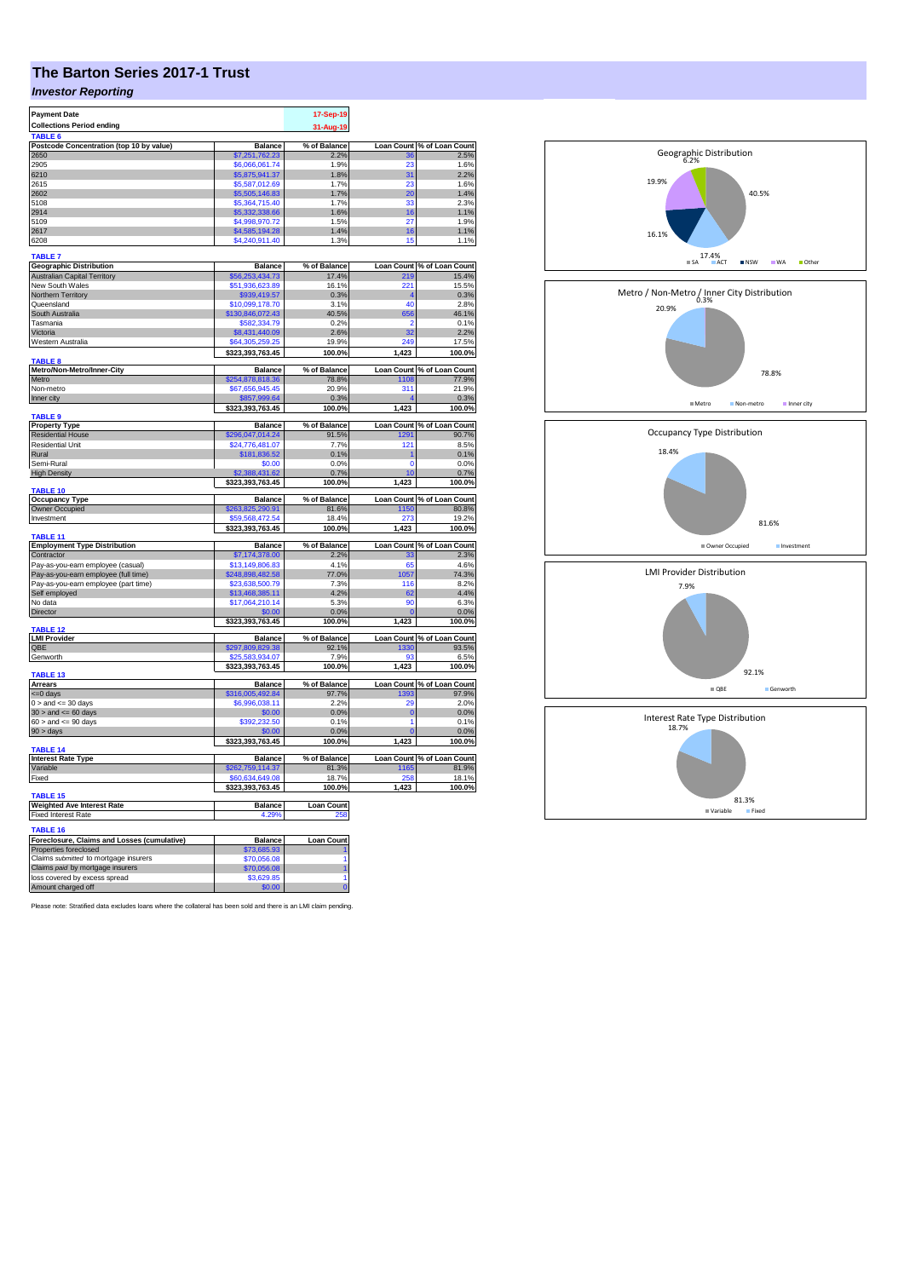# **The Barton Series 2017-1 Trust**

## *Investor Reporting*

| <b>Payment Date</b>                                 |                      | 17-Sep-19           |             |                            |
|-----------------------------------------------------|----------------------|---------------------|-------------|----------------------------|
|                                                     |                      |                     |             |                            |
| <b>Collections Period ending</b>                    |                      | 31-Aug-19           |             |                            |
| <b>TABLE</b>                                        |                      |                     |             |                            |
| Postcode Concentration (top 10 by value)            | <b>Balance</b>       | % of Balance        |             | Loan Count % of Loan Count |
| 2650                                                | \$7,251,762.23       | 2.2%                | 36          | 2.5%                       |
| 2905                                                | \$6,066,061.74       | 1.9%                | 23          | 1.6%                       |
| 6210                                                | \$5,875,941.37       | 1.8%                | 31          | 2.2%                       |
| 2615                                                | \$5,587,012.69       | 1.7%                | 23          | 1.6%                       |
|                                                     |                      |                     |             |                            |
| 2602                                                | \$5,505,146.83       | 1.7%                | 20          | 1.4%                       |
| 5108                                                | \$5,364,715,40       | 1.7%                | 33          | 2.3%                       |
| 2914                                                | \$5,332,338.66       | 1.6%                | 16          | 1.1%                       |
| 5109                                                | \$4,998,970.72       | 1.5%                | 27          | 1.9%                       |
| 2617                                                | \$4,585,194.28       | 1.4%                | 16          | 1.1%                       |
| 6208                                                | \$4,240,911.40       | 1.3%                | 15          | 1.1%                       |
|                                                     |                      |                     |             |                            |
| <b>TABLE 7</b>                                      |                      |                     |             |                            |
| <b>Geographic Distribution</b>                      | <b>Balance</b>       | % of Balance        |             | Loan Count % of Loan Count |
| <b>Australian Capital Territory</b>                 | \$56,253,434.73      | 17.4%               | 219         | 15.4%                      |
|                                                     |                      |                     |             |                            |
| New South Wales                                     | \$51,936,623.89      | 16.1%               | 221         | 15.5%                      |
| Northern Territory                                  | \$939,419.57         | 0.3%                |             | 0.3%                       |
| Queensland                                          | \$10,099,178.70      | 3.1%                | 40          | 2.8%                       |
| South Australia                                     | \$130,846,072.43     | 40.5%               | 656         | 46.1%                      |
| Tasmania                                            | \$582,334.79         | 0.2%                | 2           | 0.1%                       |
| Victoria                                            | \$8,431,440.09       | 2.6%                | 32          | 2.2%                       |
| Western Australia                                   | \$64,305,259,25      | 19.9%               | 249         | 17.5%                      |
|                                                     |                      |                     |             |                            |
|                                                     | \$323,393,763.45     | 100.0%              | 1,423       | 100.0%                     |
| <b>TABLE 8</b><br>Metro/Non-Metro/Inner-City        | <b>Balance</b>       | % of Balance        |             | Loan Count % of Loan Count |
|                                                     |                      |                     |             |                            |
| Metro                                               | \$254,878,818.36     | 78.8%               | 1108        | 77.9%                      |
| Non-metro                                           | \$67,656,945.45      | 20.9%               | 311         | 21.9%                      |
| Inner city                                          | \$857,999.64         | 0.3%                |             | 0.3%                       |
|                                                     | \$323,393,763.45     | 100.0%              | 1,423       | 100.0%                     |
| TABLE <sub>9</sub>                                  |                      |                     |             |                            |
| <b>Property Type</b>                                | <b>Balance</b>       | % of Balance        |             | Loan Count % of Loan Count |
| <b>Residential House</b>                            | \$296,047,014.24     | 91.5%               | 1291        | 90.7%                      |
| Residential Unit                                    | \$24.776.481.07      | 7.7%                | 121         | 8.5%                       |
| Rural                                               | \$181,836.52         | 0.1%                |             | 0.1%                       |
| Semi-Rural                                          | \$0.00               |                     |             |                            |
|                                                     |                      | 0.0%                | 0           | 0.0%                       |
| <b>High Density</b>                                 | \$2,388,431.62       | 0.7%                | 10          | 0.7%                       |
|                                                     | \$323,393,763.45     | 100.0%              | 1,423       | 100.0%                     |
| TABLE 10                                            |                      |                     |             |                            |
| <b>Occupancy Type</b>                               | <b>Balance</b>       | % of Balance        |             | Loan Count % of Loan Count |
| Owner Occupied                                      | \$263,825,290.91     | 81.6%               | 1150        | 80.8%                      |
| Investment                                          | \$59.568.472.54      | 18.4%               | 273         | 19.2%                      |
|                                                     | \$323,393,763.45     | 100.0%              | 1,423       | 100.0%                     |
| TABLE <sub>11</sub>                                 |                      |                     |             |                            |
| <b>Employment Type Distribution</b>                 | Balance              | % of Balance        |             | Loan Count % of Loan Count |
| Contractor                                          | \$7,174,378.00       | 2.2%                | 33          | 2.3%                       |
|                                                     |                      | 4.1%                | 65          | 4.6%                       |
| Pay-as-you-earn employee (casual)                   | \$13,149,806.83      |                     |             |                            |
| Pay-as-you-earn employee (full time)                | \$248,898,482.58     | 77.0%               | 1057        | 74.3%                      |
| Pay-as-you-earn employee (part time)                | \$23,638,500.79      | 7.3%                | 116         | 8.2%                       |
| Self employed                                       | \$13,468,385.11      | 4.2%                | 62          | 4.4%                       |
| No data                                             | \$17,064,210.14      | 5.3%                | 90          | 6.3%                       |
| Director                                            | \$0.00               | 0.0%                | O           | 0.0%                       |
|                                                     | \$323,393,763.45     | 100.0%              |             | 100.0%                     |
| <b>TABLE 12</b>                                     |                      |                     | 1,423       |                            |
| <b>LMI Provider</b>                                 | <b>Balance</b>       | % of Balance        |             | Loan Count % of Loan Count |
| OBE                                                 | \$297,809,829.38     | 92.1%               | 1330        | 93.5%                      |
|                                                     |                      | 7.9%                | 93          | 6.5%                       |
| Genworth                                            | \$25,583,934.07      |                     |             |                            |
| TABLE 13                                            | \$323,393,763.45     | 100.0%              | 1,423       | 100.0%                     |
|                                                     |                      |                     |             |                            |
| <b>Arrears</b>                                      | <b>Balance</b>       | % of Balance        |             | Loan Count % of Loan Count |
| $= 0$ days                                          | \$316,005,492.84     | 97.7%               | 1393        | 97.9%                      |
| $0 >$ and $\leq$ 30 days                            | \$6,996,038.11       | 2.2%                | 20          | 2.0%                       |
| $30$ > and <= 60 days                               | \$0.00               | 0.0%                | $\mathbf 0$ | 0.0%                       |
| $60 >$ and $\leq 90$ days                           | \$392,232.50         | 0.1%                | 1           | 0.1%                       |
| 90 > days                                           | \$0.00               | 0.0%                |             | 0.0%                       |
|                                                     | \$323,393,763.45     | 100.0%              | 1,423       | 100.0%                     |
| <b>TABLE 14</b>                                     |                      |                     |             |                            |
| <b>Interest Rate Type</b>                           |                      |                     |             |                            |
| Variable                                            |                      |                     |             |                            |
|                                                     | <b>Balance</b>       | % of Balance        |             | Loan Count % of Loan Count |
|                                                     | \$262,759,114.37     | 81.3%               | 1165        | 81.9%                      |
| Fixed                                               | \$60,634,649.08      | 18.7%               | 258         |                            |
|                                                     | \$323,393,763.45     | 100.0%              | 1,423       |                            |
| TABLE <sub>15</sub>                                 |                      |                     |             | 18.1%<br>100.0%            |
| <b>Weighted Ave Interest Rate</b>                   | <b>Balance</b>       | <b>Loan Count</b>   |             |                            |
| <b>Fixed Interest Rate</b>                          | 4.29                 |                     |             |                            |
|                                                     |                      |                     |             |                            |
| <b>TABLE 16</b>                                     |                      |                     |             |                            |
| Foreclosure, Claims and Losses (cumulative)         | Balance              | <b>Loan Count</b>   |             |                            |
| Properties foreclosed                               | \$73,685.93          |                     |             |                            |
| Claims submitted to mortgage insurers               | \$70,056.08          | 1                   |             |                            |
| Claims paid by mortgage insurers                    | \$70,056.08          | 1                   |             |                            |
| loss covered by excess spread<br>Amount charged off | \$3,629.85<br>\$0.00 | 1<br>$\overline{0}$ |             |                            |

Please note: Stratified data excludes loans where the collateral has been sold and there is an LMI claim pending.